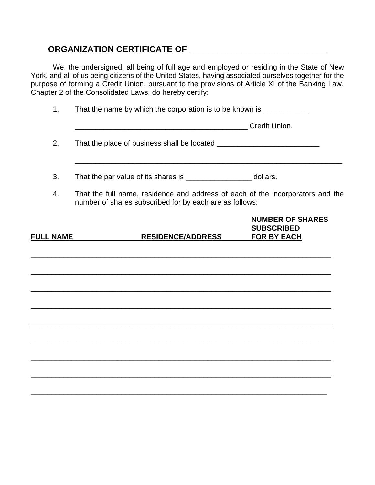## **ORGANIZATION CERTIFICATE OF \_\_\_\_\_\_\_\_\_\_\_\_\_\_\_\_\_\_\_\_\_\_\_\_\_\_\_\_\_**

We, the undersigned, all being of full age and employed or residing in the State of New York, and all of us being citizens of the United States, having associated ourselves together for the purpose of forming a Credit Union, pursuant to the provisions of Article XI of the Banking Law, Chapter 2 of the Consolidated Laws, do hereby certify:

| 1 <sub>1</sub>   | That the name by which the corporation is to be known is ___________                                                                      |                                                                    |  |
|------------------|-------------------------------------------------------------------------------------------------------------------------------------------|--------------------------------------------------------------------|--|
|                  |                                                                                                                                           |                                                                    |  |
| 2.               |                                                                                                                                           |                                                                    |  |
| 3.               | That the par value of its shares is ______________________ dollars.                                                                       |                                                                    |  |
| 4.               | That the full name, residence and address of each of the incorporators and the<br>number of shares subscribed for by each are as follows: |                                                                    |  |
| <b>FULL NAME</b> | <b>RESIDENCE/ADDRESS</b>                                                                                                                  | <b>NUMBER OF SHARES</b><br><b>SUBSCRIBED</b><br><b>FOR BY EACH</b> |  |
|                  |                                                                                                                                           |                                                                    |  |
|                  |                                                                                                                                           |                                                                    |  |
|                  | <u> 1989 - Johann Stoff, deutscher Stoff, der Stoff, der Stoff, der Stoff, der Stoff, der Stoff, der Stoff, der S</u>                     |                                                                    |  |
|                  |                                                                                                                                           |                                                                    |  |
|                  | <u> 1989 - Johann Stoff, amerikansk politiker (d. 1989)</u>                                                                               |                                                                    |  |
|                  |                                                                                                                                           |                                                                    |  |
|                  |                                                                                                                                           |                                                                    |  |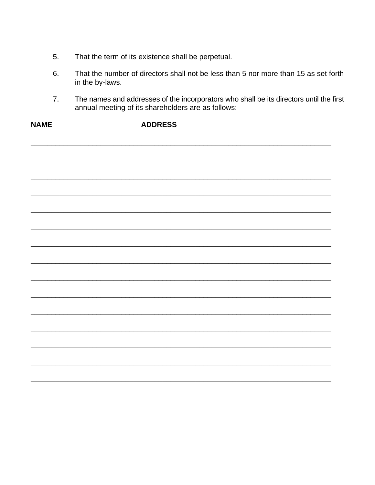- That the term of its existence shall be perpetual. 5.
- That the number of directors shall not be less than 5 nor more than 15 as set forth 6. in the by-laws.
- The names and addresses of the incorporators who shall be its directors until the first  $\overline{7}$ . annual meeting of its shareholders are as follows:

**NAME ADDRESS**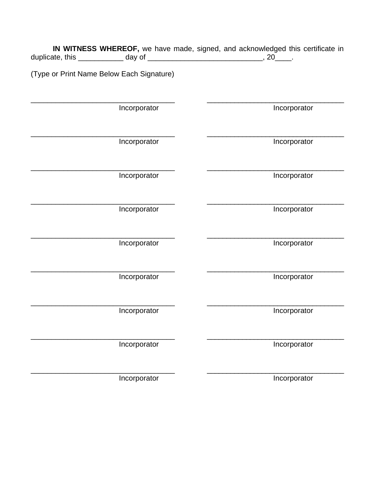**IN WITNESS WHEREOF,** we have made, signed, and acknowledged this certificate in duplicate, this \_\_\_\_\_\_\_\_\_\_\_\_\_\_ day of \_\_\_\_\_\_\_\_\_\_\_\_\_\_\_\_\_\_\_\_\_\_\_\_\_\_\_\_\_\_\_\_\_, 20\_\_\_\_\_. (Type or Print Name Below Each Signature) \_\_\_\_\_\_\_\_\_\_\_\_\_\_\_\_\_\_\_\_\_\_\_\_\_\_\_\_\_\_\_\_\_\_\_ \_\_\_\_\_\_\_\_\_\_\_\_\_\_\_\_\_\_\_\_\_\_\_\_\_\_\_\_\_\_\_\_\_\_\_ Incorporator **Incorporator** \_\_\_\_\_\_\_\_\_\_\_\_\_\_\_\_\_\_\_\_\_\_\_\_\_\_\_\_\_\_\_\_\_\_\_ \_\_\_\_\_\_\_\_\_\_\_\_\_\_\_\_\_\_\_\_\_\_\_\_\_\_\_\_\_\_\_\_\_\_\_ Incorporator **Incorporator** \_\_\_\_\_\_\_\_\_\_\_\_\_\_\_\_\_\_\_\_\_\_\_\_\_\_\_\_\_\_\_\_\_\_\_ \_\_\_\_\_\_\_\_\_\_\_\_\_\_\_\_\_\_\_\_\_\_\_\_\_\_\_\_\_\_\_\_\_\_\_ Incorporator **Incorporator** \_\_\_\_\_\_\_\_\_\_\_\_\_\_\_\_\_\_\_\_\_\_\_\_\_\_\_\_\_\_\_\_\_\_\_ \_\_\_\_\_\_\_\_\_\_\_\_\_\_\_\_\_\_\_\_\_\_\_\_\_\_\_\_\_\_\_\_\_\_\_ Incorporator **Incorporator** \_\_\_\_\_\_\_\_\_\_\_\_\_\_\_\_\_\_\_\_\_\_\_\_\_\_\_\_\_\_\_\_\_\_\_ \_\_\_\_\_\_\_\_\_\_\_\_\_\_\_\_\_\_\_\_\_\_\_\_\_\_\_\_\_\_\_\_\_\_\_ Incorporator **Incorporator** \_\_\_\_\_\_\_\_\_\_\_\_\_\_\_\_\_\_\_\_\_\_\_\_\_\_\_\_\_\_\_\_\_\_\_ \_\_\_\_\_\_\_\_\_\_\_\_\_\_\_\_\_\_\_\_\_\_\_\_\_\_\_\_\_\_\_\_\_\_\_ Incorporator **Incorporator** \_\_\_\_\_\_\_\_\_\_\_\_\_\_\_\_\_\_\_\_\_\_\_\_\_\_\_\_\_\_\_\_\_\_\_ \_\_\_\_\_\_\_\_\_\_\_\_\_\_\_\_\_\_\_\_\_\_\_\_\_\_\_\_\_\_\_\_\_\_\_ Incorporator **Incorporator** \_\_\_\_\_\_\_\_\_\_\_\_\_\_\_\_\_\_\_\_\_\_\_\_\_\_\_\_\_\_\_\_\_\_\_ \_\_\_\_\_\_\_\_\_\_\_\_\_\_\_\_\_\_\_\_\_\_\_\_\_\_\_\_\_\_\_\_\_\_\_ Incorporator **Incorporator** \_\_\_\_\_\_\_\_\_\_\_\_\_\_\_\_\_\_\_\_\_\_\_\_\_\_\_\_\_\_\_\_\_\_\_ \_\_\_\_\_\_\_\_\_\_\_\_\_\_\_\_\_\_\_\_\_\_\_\_\_\_\_\_\_\_\_\_\_\_\_ Incorporator **Incorporator**